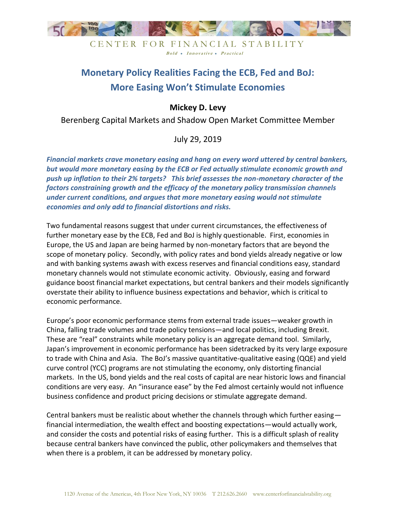

CENTER FOR FINANCIAL STABILITY Bold • Innovative • Practical

# **Monetary Policy Realities Facing the ECB, Fed and BoJ: More Easing Won't Stimulate Economies**

# **Mickey D. Levy**

Berenberg Capital Markets and Shadow Open Market Committee Member

July 29, 2019

*Financial markets crave monetary easing and hang on every word uttered by central bankers, but would more monetary easing by the ECB or Fed actually stimulate economic growth and push up inflation to their 2% targets? This brief assesses the non-monetary character of the factors constraining growth and the efficacy of the monetary policy transmission channels under current conditions, and argues that more monetary easing would not stimulate economies and only add to financial distortions and risks.* 

Two fundamental reasons suggest that under current circumstances, the effectiveness of further monetary ease by the ECB, Fed and BoJ is highly questionable. First, economies in Europe, the US and Japan are being harmed by non-monetary factors that are beyond the scope of monetary policy. Secondly, with policy rates and bond yields already negative or low and with banking systems awash with excess reserves and financial conditions easy, standard monetary channels would not stimulate economic activity. Obviously, easing and forward guidance boost financial market expectations, but central bankers and their models significantly overstate their ability to influence business expectations and behavior, which is critical to economic performance.

Europe's poor economic performance stems from external trade issues—weaker growth in China, falling trade volumes and trade policy tensions—and local politics, including Brexit. These are "real" constraints while monetary policy is an aggregate demand tool. Similarly, Japan's improvement in economic performance has been sidetracked by its very large exposure to trade with China and Asia. The BoJ's massive quantitative-qualitative easing (QQE) and yield curve control (YCC) programs are not stimulating the economy, only distorting financial markets. In the US, bond yields and the real costs of capital are near historic lows and financial conditions are very easy. An "insurance ease" by the Fed almost certainly would not influence business confidence and product pricing decisions or stimulate aggregate demand.

Central bankers must be realistic about whether the channels through which further easing financial intermediation, the wealth effect and boosting expectations—would actually work, and consider the costs and potential risks of easing further. This is a difficult splash of reality because central bankers have convinced the public, other policymakers and themselves that when there is a problem, it can be addressed by monetary policy.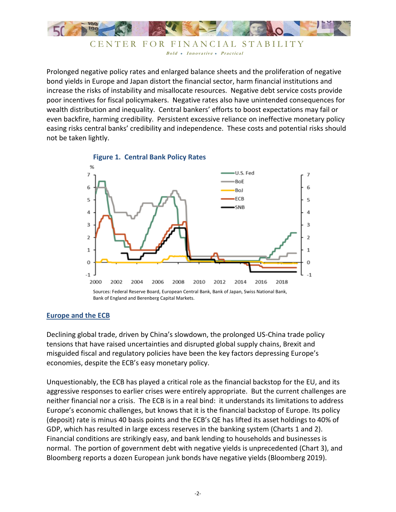

CENTER FOR FINANCIAL STABILITY Bold • Innovative • Practical

Prolonged negative policy rates and enlarged balance sheets and the proliferation of negative bond yields in Europe and Japan distort the financial sector, harm financial institutions and increase the risks of instability and misallocate resources. Negative debt service costs provide poor incentives for fiscal policymakers. Negative rates also have unintended consequences for wealth distribution and inequality. Central bankers' efforts to boost expectations may fail or even backfire, harming credibility. Persistent excessive reliance on ineffective monetary policy easing risks central banks' credibility and independence. These costs and potential risks should not be taken lightly.





#### **Europe and the ECB**

Declining global trade, driven by China's slowdown, the prolonged US-China trade policy tensions that have raised uncertainties and disrupted global supply chains, Brexit and misguided fiscal and regulatory policies have been the key factors depressing Europe's economies, despite the ECB's easy monetary policy.

Unquestionably, the ECB has played a critical role as the financial backstop for the EU, and its aggressive responses to earlier crises were entirely appropriate. But the current challenges are neither financial nor a crisis. The ECB is in a real bind: it understands its limitations to address Europe's economic challenges, but knows that it is the financial backstop of Europe. Its policy (deposit) rate is minus 40 basis points and the ECB's QE has lifted its asset holdings to 40% of GDP, which has resulted in large excess reserves in the banking system (Charts 1 and 2). Financial conditions are strikingly easy, and bank lending to households and businesses is normal. The portion of government debt with negative yields is unprecedented (Chart 3), and Bloomberg reports a dozen European junk bonds have negative yields (Bloomberg 2019).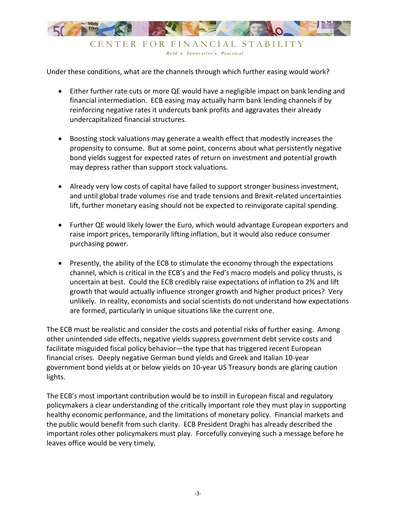

Under these conditions, what are the channels through which further easing would work?

- Either further rate cuts or more QE would have a negligible impact on bank lending and financial intermediation. ECB easing may actually harm bank lending channels if by reinforcing negative rates it undercuts bank profits and aggravates their already undercapitalized financial structures.
- Boosting stock valuations may generate a wealth effect that modestly increases the propensity to consume. But at some point, concerns about what persistently negative bond yields suggest for expected rates of return on investment and potential growth may depress rather than support stock valuations.
- Already very low costs of capital have failed to support stronger business investment, and until global trade volumes rise and trade tensions and Brexit-related uncertainties lift, further monetary easing should not be expected to reinvigorate capital spending.
- Further QE would likely lower the Euro, which would advantage European exporters and raise import prices, temporarily lifting inflation, but it would also reduce consumer purchasing power.
- Presently, the ability of the ECB to stimulate the economy through the expectations channel, which is critical in the ECB's and the Fed's macro models and policy thrusts, is uncertain at best. Could the ECB credibly raise expectations of inflation to 2% and lift growth that would actually influence stronger growth and higher product prices? Very unlikely. In reality, economists and social scientists do not understand how expectations are formed, particularly in unique situations like the current one.

The ECB must be realistic and consider the costs and potential risks of further easing. Among other unintended side effects, negative yields suppress government debt service costs and facilitate misguided fiscal policy behavior—the type that has triggered recent European financial crises. Deeply negative German bund yields and Greek and Italian 10-year government bond yields at or below yields on 10-year US Treasury bonds are glaring caution lights.

The ECB's most important contribution would be to instill in European fiscal and regulatory policymakers a clear understanding of the critically important role they must play in supporting healthy economic performance, and the limitations of monetary policy. Financial markets and the public would benefit from such clarity. ECB President Draghi has already described the important roles other policymakers must play. Forcefully conveying such a message before he leaves office would be very timely.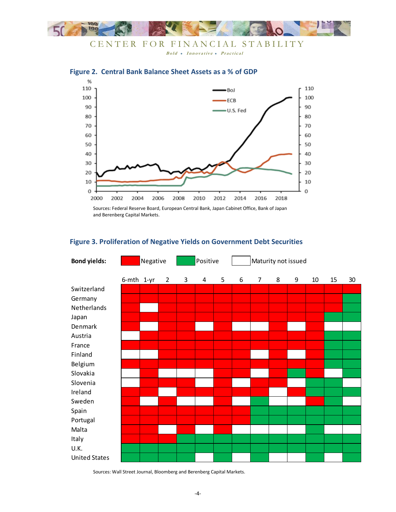

CENTER FOR FINANCIAL STABILITY Bold • Innovative • Practical



# **Figure 2. Central Bank Balance Sheet Assets as a % of GDP**

Sources: Federal Reserve Board, European Central Bank, Japan Cabinet Office, Bank of Japan and Berenberg Capital Markets.

# **Figure 3. Proliferation of Negative Yields on Government Debt Securities**

| <b>Bond yields:</b>  | Negative |            |                | Positive |   |   | Maturity not issued |                |   |   |    |    |    |
|----------------------|----------|------------|----------------|----------|---|---|---------------------|----------------|---|---|----|----|----|
|                      |          | 6-mth 1-yr | $\overline{2}$ | 3        | 4 | 5 | 6                   | $\overline{7}$ | 8 | 9 | 10 | 15 | 30 |
| Switzerland          |          |            |                |          |   |   |                     |                |   |   |    |    |    |
| Germany              |          |            |                |          |   |   |                     |                |   |   |    |    |    |
| Netherlands          |          |            |                |          |   |   |                     |                |   |   |    |    |    |
| Japan                |          |            |                |          |   |   |                     |                |   |   |    |    |    |
| Denmark              |          |            |                |          |   |   |                     |                |   |   |    |    |    |
| Austria              |          |            |                |          |   |   |                     |                |   |   |    |    |    |
| France               |          |            |                |          |   |   |                     |                |   |   |    |    |    |
| Finland              |          |            |                |          |   |   |                     |                |   |   |    |    |    |
| Belgium              |          |            |                |          |   |   |                     |                |   |   |    |    |    |
| Slovakia             |          |            |                |          |   |   |                     |                |   |   |    |    |    |
| Slovenia             |          |            |                |          |   |   |                     |                |   |   |    |    |    |
| Ireland              |          |            |                |          |   |   |                     |                |   |   |    |    |    |
| Sweden               |          |            |                |          |   |   |                     |                |   |   |    |    |    |
| Spain                |          |            |                |          |   |   |                     |                |   |   |    |    |    |
| Portugal             |          |            |                |          |   |   |                     |                |   |   |    |    |    |
| Malta                |          |            |                |          |   |   |                     |                |   |   |    |    |    |
| Italy                |          |            |                |          |   |   |                     |                |   |   |    |    |    |
| U.K.                 |          |            |                |          |   |   |                     |                |   |   |    |    |    |
| <b>United States</b> |          |            |                |          |   |   |                     |                |   |   |    |    |    |

Sources: Wall Street Journal, Bloomberg and Berenberg Capital Markets.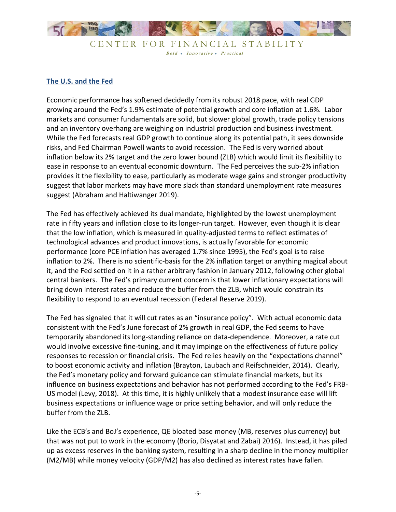

CENTER FOR FINANCIAL STABILITY Bold • Innovative • Practical

## **The U.S. and the Fed**

Economic performance has softened decidedly from its robust 2018 pace, with real GDP growing around the Fed's 1.9% estimate of potential growth and core inflation at 1.6%. Labor markets and consumer fundamentals are solid, but slower global growth, trade policy tensions and an inventory overhang are weighing on industrial production and business investment. While the Fed forecasts real GDP growth to continue along its potential path, it sees downside risks, and Fed Chairman Powell wants to avoid recession. The Fed is very worried about inflation below its 2% target and the zero lower bound (ZLB) which would limit its flexibility to ease in response to an eventual economic downturn. The Fed perceives the sub-2% inflation provides it the flexibility to ease, particularly as moderate wage gains and stronger productivity suggest that labor markets may have more slack than standard unemployment rate measures suggest (Abraham and Haltiwanger 2019).

The Fed has effectively achieved its dual mandate, highlighted by the lowest unemployment rate in fifty years and inflation close to its longer-run target. However, even though it is clear that the low inflation, which is measured in quality-adjusted terms to reflect estimates of technological advances and product innovations, is actually favorable for economic performance (core PCE inflation has averaged 1.7% since 1995), the Fed's goal is to raise inflation to 2%. There is no scientific-basis for the 2% inflation target or anything magical about it, and the Fed settled on it in a rather arbitrary fashion in January 2012, following other global central bankers. The Fed's primary current concern is that lower inflationary expectations will bring down interest rates and reduce the buffer from the ZLB, which would constrain its flexibility to respond to an eventual recession (Federal Reserve 2019).

The Fed has signaled that it will cut rates as an "insurance policy". With actual economic data consistent with the Fed's June forecast of 2% growth in real GDP, the Fed seems to have temporarily abandoned its long-standing reliance on data-dependence. Moreover, a rate cut would involve excessive fine-tuning, and it may impinge on the effectiveness of future policy responses to recession or financial crisis. The Fed relies heavily on the "expectations channel" to boost economic activity and inflation (Brayton, Laubach and Reifschneider, 2014). Clearly, the Fed's monetary policy and forward guidance can stimulate financial markets, but its influence on business expectations and behavior has not performed according to the Fed's FRB-US model (Levy, 2018). At this time, it is highly unlikely that a modest insurance ease will lift business expectations or influence wage or price setting behavior, and will only reduce the buffer from the ZLB.

Like the ECB's and BoJ's experience, QE bloated base money (MB, reserves plus currency) but that was not put to work in the economy (Borio, Disyatat and Zabai) 2016). Instead, it has piled up as excess reserves in the banking system, resulting in a sharp decline in the money multiplier (M2/MB) while money velocity (GDP/M2) has also declined as interest rates have fallen.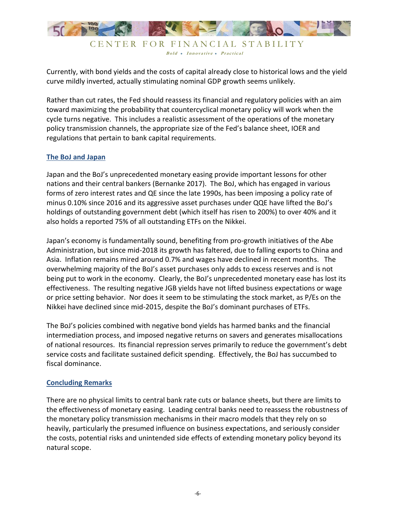

Bold • Innovative • Practical

Currently, with bond yields and the costs of capital already close to historical lows and the yield curve mildly inverted, actually stimulating nominal GDP growth seems unlikely.

Rather than cut rates, the Fed should reassess its financial and regulatory policies with an aim toward maximizing the probability that countercyclical monetary policy will work when the cycle turns negative. This includes a realistic assessment of the operations of the monetary policy transmission channels, the appropriate size of the Fed's balance sheet, IOER and regulations that pertain to bank capital requirements.

### **The BoJ and Japan**

Japan and the BoJ's unprecedented monetary easing provide important lessons for other nations and their central bankers (Bernanke 2017). The BoJ, which has engaged in various forms of zero interest rates and QE since the late 1990s, has been imposing a policy rate of minus 0.10% since 2016 and its aggressive asset purchases under QQE have lifted the BoJ's holdings of outstanding government debt (which itself has risen to 200%) to over 40% and it also holds a reported 75% of all outstanding ETFs on the Nikkei.

Japan's economy is fundamentally sound, benefiting from pro-growth initiatives of the Abe Administration, but since mid-2018 its growth has faltered, due to falling exports to China and Asia. Inflation remains mired around 0.7% and wages have declined in recent months. The overwhelming majority of the BoJ's asset purchases only adds to excess reserves and is not being put to work in the economy. Clearly, the BoJ's unprecedented monetary ease has lost its effectiveness. The resulting negative JGB yields have not lifted business expectations or wage or price setting behavior. Nor does it seem to be stimulating the stock market, as P/Es on the Nikkei have declined since mid-2015, despite the BoJ's dominant purchases of ETFs.

The BoJ's policies combined with negative bond yields has harmed banks and the financial intermediation process, and imposed negative returns on savers and generates misallocations of national resources. Its financial repression serves primarily to reduce the government's debt service costs and facilitate sustained deficit spending. Effectively, the BoJ has succumbed to fiscal dominance.

#### **Concluding Remarks**

There are no physical limits to central bank rate cuts or balance sheets, but there are limits to the effectiveness of monetary easing. Leading central banks need to reassess the robustness of the monetary policy transmission mechanisms in their macro models that they rely on so heavily, particularly the presumed influence on business expectations, and seriously consider the costs, potential risks and unintended side effects of extending monetary policy beyond its natural scope.